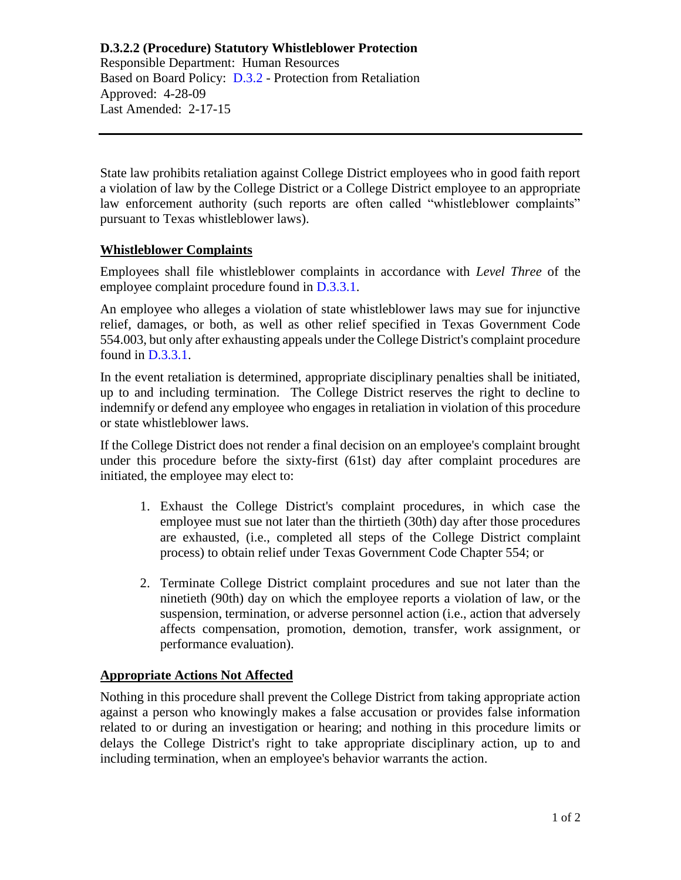#### **D.3.2.2 (Procedure) Statutory Whistleblower Protection** Responsible Department: Human Resources

Based on Board Policy: [D.3.2](https://www.alamo.edu/siteassets/district/about-us/leadership/board-of-trustees/policies-pdfs/section-d/d.3.2-policy.pdf) - Protection from Retaliation Approved: 4-28-09 Last Amended: 2-17-15

State law prohibits retaliation against College District employees who in good faith report a violation of law by the College District or a College District employee to an appropriate law enforcement authority (such reports are often called "whistleblower complaints" pursuant to Texas whistleblower laws).

# **Whistleblower Complaints**

Employees shall file whistleblower complaints in accordance with *Level Three* of the employee complaint procedure found in [D.3.3.1.](https://www.alamo.edu/siteassets/district/about-us/leadership/board-of-trustees/policies-pdfs/section-d/d.3.3.1-procedure.pdf)

An employee who alleges a violation of state whistleblower laws may sue for injunctive relief, damages, or both, as well as other relief specified in Texas Government Code 554.003, but only after exhausting appeals under the College District's complaint procedure found in [D.3.3.1.](https://www.alamo.edu/siteassets/district/about-us/leadership/board-of-trustees/policies-pdfs/section-d/d.3.3.1-procedure.pdf)

In the event retaliation is determined, appropriate disciplinary penalties shall be initiated, up to and including termination. The College District reserves the right to decline to indemnify or defend any employee who engages in retaliation in violation of this procedure or state whistleblower laws.

If the College District does not render a final decision on an employee's complaint brought under this procedure before the sixty-first (61st) day after complaint procedures are initiated, the employee may elect to:

- 1. Exhaust the College District's complaint procedures, in which case the employee must sue not later than the thirtieth (30th) day after those procedures are exhausted, (i.e., completed all steps of the College District complaint process) to obtain relief under Texas Government Code Chapter 554; or
- 2. Terminate College District complaint procedures and sue not later than the ninetieth (90th) day on which the employee reports a violation of law, or the suspension, termination, or adverse personnel action (i.e., action that adversely affects compensation, promotion, demotion, transfer, work assignment, or performance evaluation).

# **Appropriate Actions Not Affected**

Nothing in this procedure shall prevent the College District from taking appropriate action against a person who knowingly makes a false accusation or provides false information related to or during an investigation or hearing; and nothing in this procedure limits or delays the College District's right to take appropriate disciplinary action, up to and including termination, when an employee's behavior warrants the action.